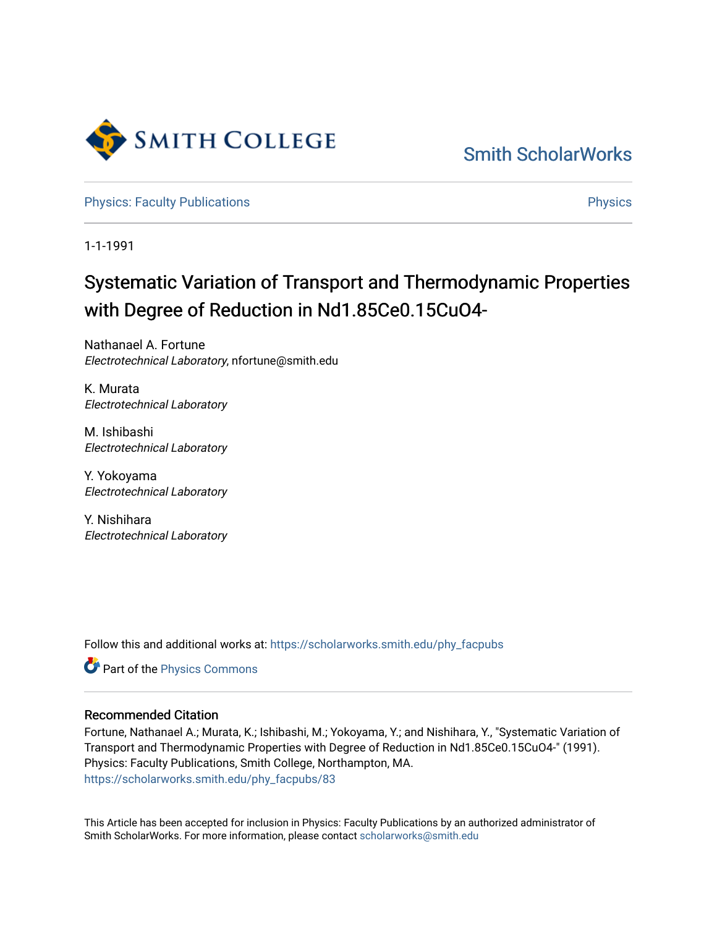

[Smith ScholarWorks](https://scholarworks.smith.edu/) 

[Physics: Faculty Publications](https://scholarworks.smith.edu/phy_facpubs) **Physics** Physics

1-1-1991

## Systematic Variation of Transport and Thermodynamic Properties with Degree of Reduction in Nd1.85Ce0.15CuO4-

Nathanael A. Fortune Electrotechnical Laboratory, nfortune@smith.edu

K. Murata Electrotechnical Laboratory

M. Ishibashi Electrotechnical Laboratory

Y. Yokoyama Electrotechnical Laboratory

Y. Nishihara Electrotechnical Laboratory

Follow this and additional works at: [https://scholarworks.smith.edu/phy\\_facpubs](https://scholarworks.smith.edu/phy_facpubs?utm_source=scholarworks.smith.edu%2Fphy_facpubs%2F83&utm_medium=PDF&utm_campaign=PDFCoverPages)

Part of the [Physics Commons](http://network.bepress.com/hgg/discipline/193?utm_source=scholarworks.smith.edu%2Fphy_facpubs%2F83&utm_medium=PDF&utm_campaign=PDFCoverPages)

## Recommended Citation

Fortune, Nathanael A.; Murata, K.; Ishibashi, M.; Yokoyama, Y.; and Nishihara, Y., "Systematic Variation of Transport and Thermodynamic Properties with Degree of Reduction in Nd1.85Ce0.15CuO4-" (1991). Physics: Faculty Publications, Smith College, Northampton, MA. [https://scholarworks.smith.edu/phy\\_facpubs/83](https://scholarworks.smith.edu/phy_facpubs/83?utm_source=scholarworks.smith.edu%2Fphy_facpubs%2F83&utm_medium=PDF&utm_campaign=PDFCoverPages) 

This Article has been accepted for inclusion in Physics: Faculty Publications by an authorized administrator of Smith ScholarWorks. For more information, please contact [scholarworks@smith.edu](mailto:scholarworks@smith.edu)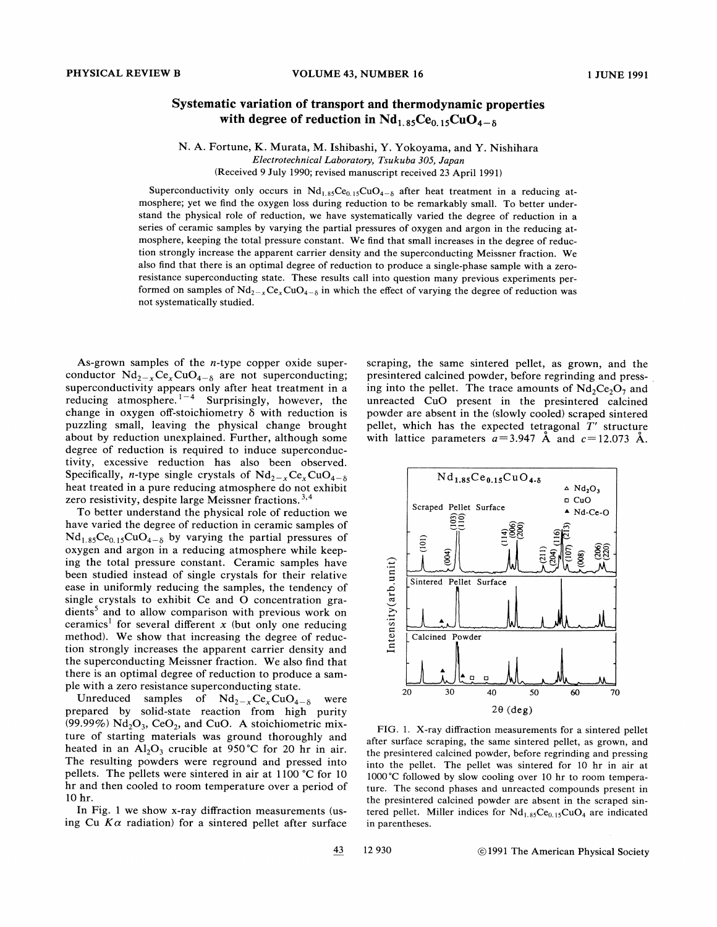## Systematic variation of transport and thermodynamic properties with degree of reduction in  $Nd_{1.85}Ce_{0.15}CuO_{4-8}$

N. A. Fortune, K. Murata, M. Ishibashi, Y. Yokoyama, and Y. Nishihara Electrotechnical Laboratory, Tsukuba 305, Japan (Received 9 July 1990; revised manuscript received 23 April 1991)

Superconductivity only occurs in  $Nd_{1.85}Ce_{0.15}CuO_{4-8}$  after heat treatment in a reducing atmosphere; yet we find the oxygen loss during reduction to be remarkably small. To better understand the physical role of reduction, we have systematically varied the degree of reduction in a series of ceramic samples by varying the partial pressures of oxygen and argon in the reducing atmosphere, keeping the total pressure constant. We find that small increases in the degree of reduction strongly increase the apparent carrier density and the superconducting Meissner fraction. We also find that there is an optimal degree of reduction to produce a single-phase sample with a zeroresistance superconducting state. These results call into question many previous experiments performed on samples of  $Nd_{2-x}Ce_xCuO_{4-\delta}$  in which the effect of varying the degree of reduction was not systematically studied.

As-grown samples of the n-type copper oxide superconductor  $Nd_{2-x}Ce_xCuO_{4-\delta}$  are not superconducting superconductivity appears only after heat treatment in a reducing atmosphere.<sup>1-4</sup> Surprisingly, however, the change in oxygen off-stoichiometry  $\delta$  with reduction is puzzling small, leaving the physical change brought about by reduction unexplained. Further, although some degree of reduction is required to induce superconductivity, excessive reduction has also been observed. Specifically, *n*-type single crystals of  $Nd_{2-x}Ce_xCuO_{4-\delta}$ heat treated in a pure reducing atmosphere do not exhibit zero resistivity, despite large Meissner fractions.<sup>3,4</sup>

To better understand the physical role of reduction we have varied the degree of reduction in ceramic samples of  $Nd_{1.85}Ce_{0.15}CuO_{4-8}$  by varying the partial pressures of oxygen and argon in a reducing atmosphere while keeping the total pressure constant. Ceramic samples have been studied instead of single crystals for their relative ease in uniformly reducing the samples, the tendency of single crystals to exhibit Ce and O concentration gra $dients<sup>5</sup>$  and to allow comparison with previous work on ceramics<sup>1</sup> for several different x (but only one reducing method). We show that increasing the degree of reduction strongly increases the apparent carrier density and the superconducting Meissner fraction. We also find that there is an optimal degree of reduction to produce a sample with a zero resistance superconducting state.

Unreduced samples of  $Nd_{2-x}Ce_xCuO_{4-\delta}$  were prepared by solid-state reaction from high purity (99.99%)  $Nd_2O_3$ , CeO<sub>2</sub>, and CuO. A stoichiometric mixture of starting materials was ground thoroughly and heated in an  $Al_2O_3$  crucible at 950°C for 20 hr in air. The resulting powders were reground and pressed into pellets. The pellets were sintered in air at 1100 °C for 10 hr and then cooled to room temperature over a period of 10 hr.

In Fig. I we show x-ray diffraction measurements (using Cu  $K\alpha$  radiation) for a sintered pellet after surface scraping, the same sintered pellet, as grown, and the presintered calcined powder, before regrinding and pressing into the pellet. The trace amounts of  $Nd_2Ce_2O_7$  and unreacted CuO present in the presintered calcined powder are absent in the (slowly cooled) scraped sintered pellet, which has the expected tetragonal  $T'$  structure with lattice parameters  $a=3.947$  Å and  $c=12.073$  Å.



FIG. 1. X-ray diffraction measurements for a sintered pellet after surface scraping, the same sintered pellet, as grown, and the presintered calcined powder, before regrinding and pressing into the pellet. The pellet was sintered for 10 hr in air at 1000 °C followed by slow cooling over 10 hr to room temperature. The second phases and unreacted compounds present in the presintered calcined powder are absent in the scraped sintered pellet. Miller indices for  $Nd_{1.85}Ce_{0.15}CuO_4$  are indicated in parentheses.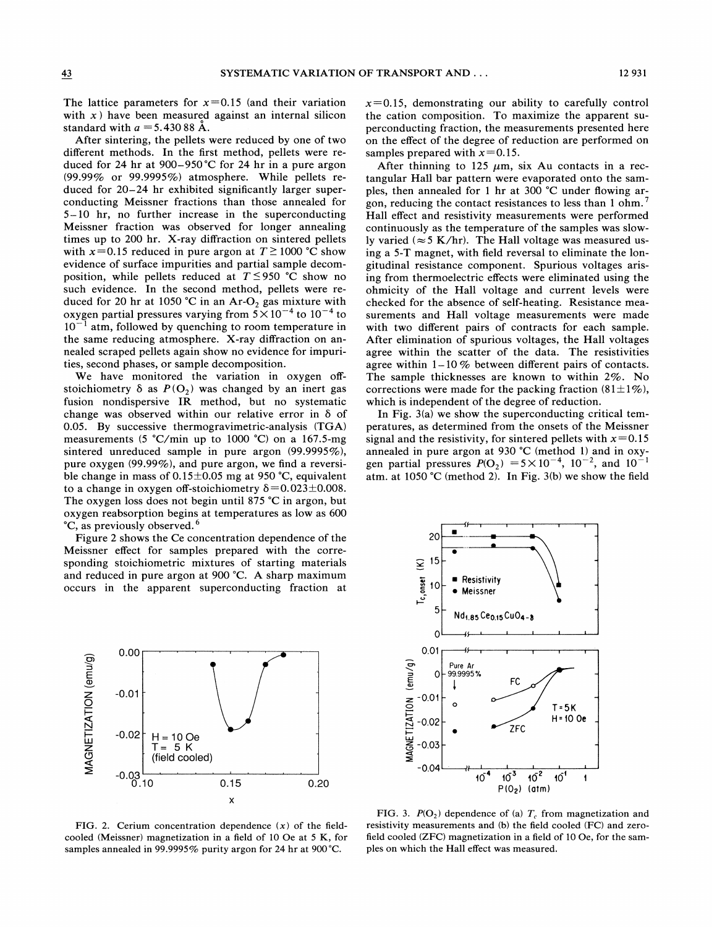The lattice parameters for  $x=0.15$  (and their variation with  $x$ ) have been measured against an internal silicon standard with  $a = 5.43088$  Å.

After sintering, the pellets were reduced by one of two different methods. In the first method, pellets were reduced for 24 hr at 900—950'C for 24 hr in a pure argon (99.99% or 99.9995%) atmosphere. While pellets reduced for 20—24 hr exhibited significantly larger superconducting Meissner fractions than those annealed for <sup>5</sup>—10 hr, no further increase in the superconducting Meissner fraction was observed for longer annealing times up to 200 hr. X-ray diffraction on sintered pellets with  $x=0.15$  reduced in pure argon at  $T \ge 1000$  °C show evidence of surface impurities and partial sample decomposition, while pellets reduced at  $T \leq 950$  °C show no such evidence. In the second method, pellets were reduced for 20 hr at 1050 °C in an Ar-O<sub>2</sub> gas mixture with oxygen partial pressures varying from  $5 \times 10^{-4}$  to  $10^{-4}$  to  $10^{-1}$  atm, followed by quenching to room temperature in the same reducing atmosphere. X-ray diffraction on annealed scraped pellets again show no evidence for impurities, second phases, or sample decomposition.

We have monitored the variation in oxygen offstoichiometry  $\delta$  as  $P(O_2)$  was changed by an inert gas fusion nondispersive IR method, but no systematic change was observed within our relative error in  $\delta$  of 0.05. By successive thermogravimetric-analysis (TGA) measurements (5 'C/min up to 1000 'C) on a 167.5-mg sintered unreduced sample in pure argon (99.9995%), pure oxygen (99.99%), and pure argon, we find a reversible change in mass of  $0.15\pm0.05$  mg at 950 °C, equivalent to a change in oxygen off-stoichiometry  $\delta$  = 0.023 ± 0.008. The oxygen loss does not begin until 875 'C in argon, but oxygen reabsorption begins at temperatures as low as 600 <sup>o</sup>C, as previously observed.<sup>6</sup>

Figure 2 shows the Ce concentration dependence of the Meissner effect for samples prepared with the corresponding stoichiometric mixtures of starting materials and reduced in pure argon at 900 'C. A sharp maximum occurs in the apparent superconducting fraction at



FIG. 2. Cerium concentration dependence  $(x)$  of the fieldcooled (Meissner) magnetization in a field of 10 Oe at 5 K, for samples annealed in 99.9995% purity argon for 24 hr at 900 °C.

 $x=0.15$ , demonstrating our ability to carefully control the cation composition. To maximize the apparent superconducting fraction, the measurements presented here on the effect of the degree of reduction are performed on samples prepared with  $x=0.15$ .

After thinning to 125  $\mu$ m, six Au contacts in a rectangular Hall bar pattern were evaporated onto the samples, then annealed for 1 hr at 300  $^{\circ}$ C under flowing argon, reducing the contact resistances to less than 1 ohm.<sup>7</sup> Hall effect and resistivity measurements were performed continuously as the temperature of the samples was slowly varied ( $\approx$  5 K/hr). The Hall voltage was measured using a 5-T magnet, with field reversal to eliminate the longitudinal resistance component. Spurious voltages arising from thermoelectric effects were eliminated using the ohmicity of the Hall voltage and current levels were checked for the absence of self-heating. Resistance measurements and Hall voltage measurements were made with two different pairs of contracts for each sample. After elimination of spurious voltages, the Hall voltages agree within the scatter of the data. The resistivities agree within  $1-10\%$  between different pairs of contacts. The sample thicknesses are known to within 2%. No corrections were made for the packing fraction  $(81\pm1\%)$ , which is independent of the degree of reduction.

In Fig. 3(a) we show the superconducting critical temperatures, as determined from the onsets of the Meissner signal and the resistivity, for sintered pellets with  $x=0.15$ annealed in pure argon at 930 'C (method 1) and in oxygen partial pressures  $P(O_2) = 5 \times 10^{-4}$ ,  $10^{-2}$ , and  $10^{-1}$ atm. at 1050 °C (method 2). In Fig. 3(b) we show the field



FIG. 3.  $P(O_2)$  dependence of (a)  $T_c$  from magnetization and resistivity measurements and (b) the field cooled (FC) and zerofield cooled (ZFC) magnetization in a field of 10 Oe, for the samples on which the Hall effect was measured.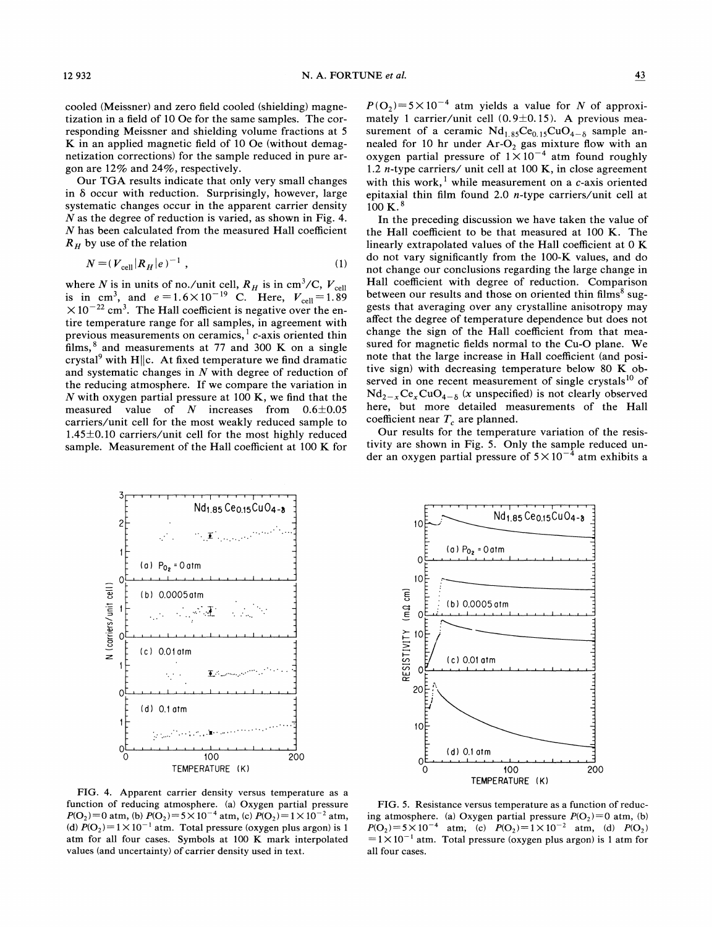cooled (Meissner) and zero field cooled (shielding) magnetization in a field of 10 Oe for the same samples. The corresponding Meissner and shielding volume fractions at 5 K in an applied magnetic field of 10 Oe (without demagnetization corrections) for the sample reduced in pure argon are 12% and 24%, respectively.

Our TGA results indicate that only very small changes in  $\delta$  occur with reduction. Surprisingly, however, large systematic changes occur in the apparent carrier density N as the degree of reduction is varied, as shown in Fig. 4. N has been calculated from the measured Hall coefficient  $R_H$  by use of the relation

$$
N = (V_{\text{cell}} | R_H | e)^{-1} \tag{1}
$$

where N is in units of no./unit cell,  $R_H$  is in cm<sup>3</sup>/C,  $V_{\text{cell}}$ <br>is in cm<sup>3</sup>, and  $e = 1.6 \times 10^{-19}$  C. Here,  $V_{\text{cell}} = 1.89$  $\times 10^{-22}$  cm<sup>3</sup>. The Hall coefficient is negative over the entire temperature range for all samples, in agreement with previous measurements on ceramics,<sup>1</sup>  $c$ -axis oriented thin films,  $8$  and measurements at 77 and 300 K on a single crystal<sup>9</sup> with H $||c$ . At fixed temperature we find dramatic and systematic changes in N with degree of reduction of the reducing atmosphere. If we compare the variation in N with oxygen partial pressure at 100 K, we find that the measured value of  $N$  increases from  $0.6 \pm 0.05$ carriers/unit cell for the most weakly reduced sample to  $1.45\pm0.10$  carriers/unit cell for the most highly reduced sample. Measurement of the Hall coefficient at 100 K for

 $P(O_2)=5\times 10^{-4}$  atm yields a value for N of approximately 1 carrier/unit cell  $(0.9\pm0.15)$ . A previous measurement of a ceramic  $Nd_{1.85}Ce_{0.15}CuO_{4-\delta}$  sample annealed for 10 hr under  $Ar-O_2$  gas mixture flow with an bxygen partial pressure of  $1\times10^{-4}$  atm found roughly 1.2 n-type carriers/ unit cell at 100 K, in close agreement with this work,<sup>1</sup> while measurement on a c-axis oriented epitaxial thin film found 2.0 n-type carriers/unit cell at  $100 \text{ K.}^8$ 

In the preceding discussion we have taken the value of the Hall coefficient to be that measured at 100 K. The linearly extrapolated values of the Hall coefficient at  $0 K$ do not vary significantly from the 100-K values, and do not change our conclusions regarding the large change in Hall coefficient with degree of reduction. Comparison between our results and those on oriented thin films<sup>8</sup> suggests that averaging over any crystalline anisotropy may affect the degree of temperature dependence but does not change the sign of the Hall coefficient from that measured for magnetic fields normal to the Cu-0 plane. We note that the large increase in Hall coefficient (and positive sign) with decreasing temperature below 80 K observed in one recent measurement of single crystals<sup>10</sup> of  $Nd_{2-x}Ce_xCuO_{4-\delta}$  (x unspecified) is not clearly observed here, but more detailed measurements of the Hall coefficient near  $T_c$  are planned.

Our results for the temperature variation of the resistivity are shown in Fig. 5. Only the sample reduced under an oxygen partial pressure of  $5 \times 10^{-4}$  atm exhibits a





FIG. 4. Apparent carrier density versus temperature as a function of reducing atmosphere. (a) Oxygen partial pressure  $P(O_2)=0$  atm, (b)  $P(O_2)=5 \times 10^{-4}$  atm, (c)  $P(O_2)=1\times 10^{-2}$  atm, (d)  $P(O_2) = 1 \times 10^{-1}$  atm. Total pressure (oxygen plus argon) is 1 atm for all four cases. Symbols at 100 K mark interpolated values (and uncertainty) of carrier density used in text.

FIG. 5. Resistance versus temperature as a function of reducing atmosphere. (a) Oxygen partial pressure  $P(O_2)=0$  atm, (b)  $P(O_2)=5 \times 10^{-4}$  atm, (c)  $P(O_2)=1 \times 10^{-2}$  atm, (d)  $P(O_2)$  $=1\times10^{-1}$  atm. Total pressure (oxygen plus argon) is 1 atm for all four cases.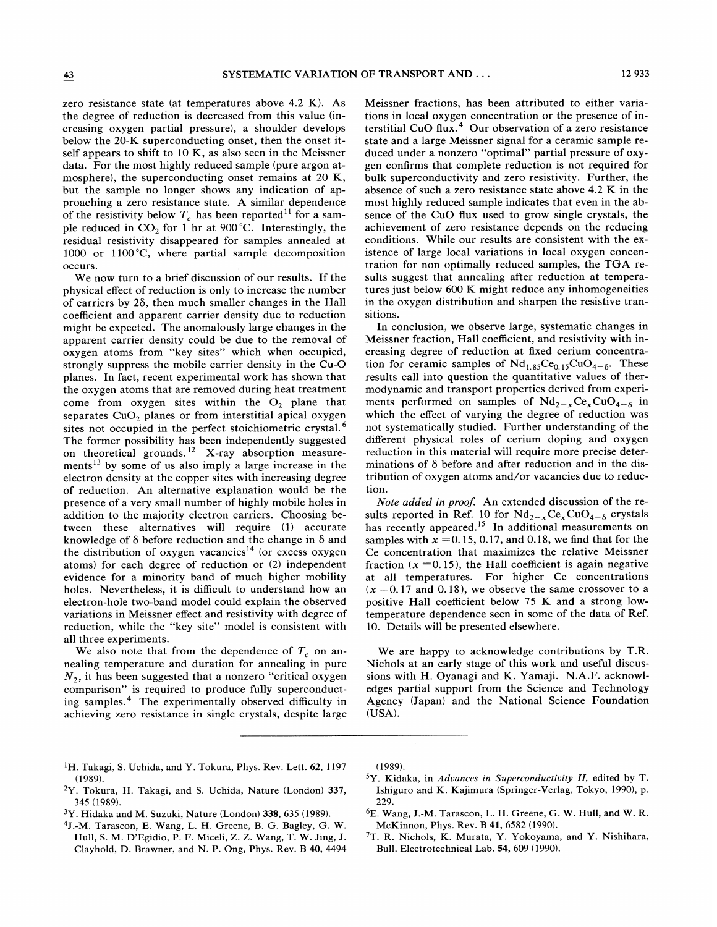zero resistance state (at temperatures above 4.2 K). As the degree of reduction is decreased from this value (increasing oxygen partial pressure), a shoulder develops below the 20-K superconducting onset, then the onset itself appears to shift to 10 K, as also seen in the Meissner data. For the most highly reduced sample (pure argon atmosphere), the superconducting onset remains at 20 K, but the sample no longer shows any indication of approaching a zero resistance state. A similar dependence of the resistivity below  $T_c$  has been reported<sup>11</sup> for a sample reduced in  $CO<sub>2</sub>$  for 1 hr at 900 °C. Interestingly, the residual resistivity disappeared for samples annealed at 1000 or 1100'C, where partial sample decomposition occurs.

We now turn to a brief discussion of our results. If the physical effect of reduction is only to increase the number of carriers by  $2\delta$ , then much smaller changes in the Hall coefficient and apparent carrier density due to reduction might be expected. The anomalously large changes in the apparent carrier density could be due to the removal of oxygen atoms from "key sites" which when occupied, strongly suppress the mobile carrier density in the Cu-0 planes. In fact, recent experimental work has shown that the oxygen atoms that are removed during heat treatment come from oxygen sites within the  $O_2$  plane that separates  $CuO<sub>2</sub>$  planes or from interstitial apical oxygen sites not occupied in the perfect stoichiometric crystal.<sup>6</sup> The former possibility has been independently suggested<br>on theoretical grounds.<sup>12</sup> X-ray absorption measure ments<sup>13</sup> by some of us also imply a large increase in the electron density at the copper sites with increasing degree of reduction. An alternative explanation would be the presence of a very small number of highly mobile holes in addition to the majority electron carriers. Choosing between these alternatives will require (1) accurate knowledge of 6 before reduction and the change in 6 and the distribution of oxygen vacancies<sup>14</sup> (or excess oxygen atoms) for each degree of reduction or (2) independent evidence for a minority band of much higher mobility holes. Nevertheless, it is difficult to understand how an electron-hole two-band model could explain the observed variations in Meissner effect and resistivity with degree of reduction, while the "key site" model is consistent with all three experiments.

We also note that from the dependence of  $T_c$  on annealing temperature and duration for annealing in pure  $N_2$ , it has been suggested that a nonzero "critical oxygen comparison" is required to produce fully superconducting samples.<sup>4</sup> The experimentally observed difficulty in achieving zero resistance in single crystals, despite large Meissner fractions, has been attributed to either variations in local oxygen concentration or the presence of interstitial CuO flux.<sup>4</sup> Our observation of a zero resistance state and a large Meissner signal for a ceramic sample reduced under a nonzero "optimal" partial pressure of oxygen confirms that complete reduction is not required for bulk superconductivity and zero resistivity. Further, the absence of such a zero resistance state above 4.2 K in the most highly reduced sample indicates that even in the absence of the CuO fIux used to grow single crystals, the achievement of zero resistance depends on the reducing conditions. While our results are consistent with the existence of large local variations in local oxygen concentration for non optimally reduced samples, the TGA results suggest that annealing after reduction at temperatures just below 600 K might reduce any inhomogeneities in the oxygen distribution and sharpen the resistive transitions.

In conclusion, we observe large, systematic changes in Meissner fraction, Hall coefficient, and resistivity with increasing degree of reduction at fixed cerium concentration for ceramic samples of  $Nd_{1.85}Ce_{0.15}CuO_{4-8}$ . These results call into question the quantitative values of thermodynamic and transport properties derived from experiments performed on samples of  $Nd_{2-x}Ce_xCuO_{4-\delta}$  in which the effect of varying the degree of reduction was not systematically studied. Further understanding of the different physical roles of cerium doping and oxygen reduction in this material will require more precise determinations of  $\delta$  before and after reduction and in the distribution of oxygen atoms and/or vacancies due to reduction.

Note added in proof. An extended discussion of the results reported in Ref. 10 for  $Nd_{2-x}Ce_xCuO_{4-\delta}$  crystals has recently appeared.<sup>15</sup> In additional measurements on samples with  $x = 0.15, 0.17$ , and 0.18, we find that for the Ce concentration that maximizes the relative Meissner fraction ( $x = 0.15$ ), the Hall coefficient is again negative at all temperatures. For higher Ce concentrations  $(x = 0.17$  and 0.18), we observe the same crossover to a positive Hall coefficient below 75 K and a strong lowtemperature dependence seen in some of the data of Ref. 10. Details will be presented elsewhere.

We are happy to acknowledge contributions by T.R. Nichols at an early stage of this work and useful discussions with H. Oyanagi and K. Yamaji. N.A.F. acknowledges partial support from the Science and Technology Agency (Japan) and the National Science Foundation (USA).

- <sup>1</sup>H. Takagi, S. Uchida, and Y. Tokura, Phys. Rev. Lett. 62, 1197 (1989).
- <sup>2</sup>Y. Tokura, H. Takagi, and S. Uchida, Nature (London) 337, 345 (1989).
- $3Y. Hidaka$  and M. Suzuki, Nature (London) 338, 635 (1989).
- 4J.-M. Tarascon, E. Wang, L. H. Greene, B. G. Bagley, G. W. Hull, S. M. D'Egidio, P. F. Miceli, Z. Z. Wang, T. W. Jing, J. Clayhold, D. Brawner, and N. P. Ong, Phys. Rev. B 40, 4494

(1989).

- $5Y$ . Kidaka, in Advances in Superconductivity II, edited by T. Ishiguro and K. Kajimura (Springer-Verlag, Tokyo, 1990), p. 229.
- <sup>6</sup>E. Wang, J.-M. Tarascon, L. H. Greene, G. W. Hull, and W. R. McKinnon, Phys. Rev. B 41, 6582 (1990).
- 7T. R. Nichols, K. Murata, Y. Yokoyama, and Y. Nishihara, Bull. Electrotechnical Lab. 54, 609 (1990).